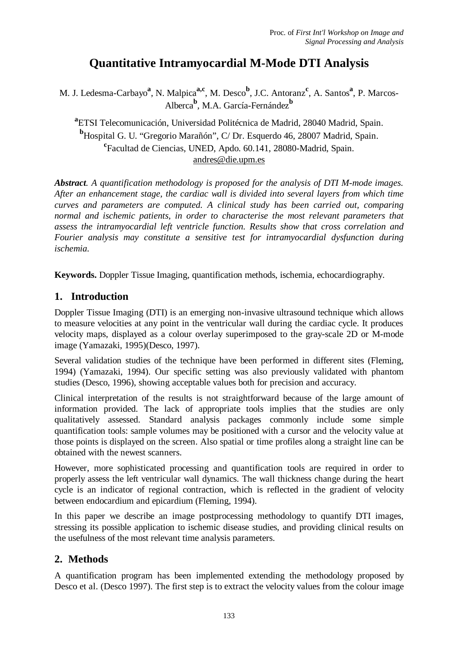# **Quantitative Intramyocardial M-Mode DTI Analysis**

M. J. Ledesma-Carbayo<sup>a</sup>, N. Malpica<sup>a,c</sup>, M. Desco<sup>b</sup>, J.C. Antoranz<sup>c</sup>, A. Santos<sup>a</sup>, P. Marcos-Alberca**<sup>b</sup>** , M.A. García-Fernández**<sup>b</sup>**

**a** ETSI Telecomunicación, Universidad Politécnica de Madrid, 28040 Madrid, Spain. **<sup>b</sup>**Hospital G. U. "Gregorio Marañón", C/ Dr. Esquerdo 46, 28007 Madrid, Spain. **c** Facultad de Ciencias, UNED, Apdo. 60.141, 28080-Madrid, Spain. andres@die.upm.es

*Abstract. A quantification methodology is proposed for the analysis of DTI M-mode images. After an enhancement stage, the cardiac wall is divided into several layers from which time curves and parameters are computed. A clinical study has been carried out, comparing normal and ischemic patients, in order to characterise the most relevant parameters that assess the intramyocardial left ventricle function. Results show that cross correlation and Fourier analysis may constitute a sensitive test for intramyocardial dysfunction during ischemia.*

**Keywords.** Doppler Tissue Imaging, quantification methods, ischemia, echocardiography.

# **1. Introduction**

Doppler Tissue Imaging (DTI) is an emerging non-invasive ultrasound technique which allows to measure velocities at any point in the ventricular wall during the cardiac cycle. It produces velocity maps, displayed as a colour overlay superimposed to the gray-scale 2D or M-mode image (Yamazaki, 1995)(Desco, 1997).

Several validation studies of the technique have been performed in different sites (Fleming, 1994) (Yamazaki, 1994). Our specific setting was also previously validated with phantom studies (Desco, 1996), showing acceptable values both for precision and accuracy.

Clinical interpretation of the results is not straightforward because of the large amount of information provided. The lack of appropriate tools implies that the studies are only qualitatively assessed. Standard analysis packages commonly include some simple quantification tools: sample volumes may be positioned with a cursor and the velocity value at those points is displayed on the screen. Also spatial or time profiles along a straight line can be obtained with the newest scanners.

However, more sophisticated processing and quantification tools are required in order to properly assess the left ventricular wall dynamics. The wall thickness change during the heart cycle is an indicator of regional contraction, which is reflected in the gradient of velocity between endocardium and epicardium (Fleming, 1994).

In this paper we describe an image postprocessing methodology to quantify DTI images, stressing its possible application to ischemic disease studies, and providing clinical results on the usefulness of the most relevant time analysis parameters.

# **2. Methods**

A quantification program has been implemented extending the methodology proposed by Desco et al. (Desco 1997). The first step is to extract the velocity values from the colour image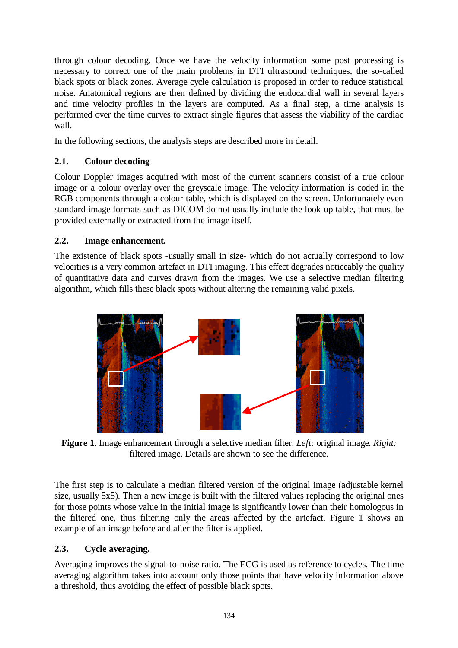through colour decoding. Once we have the velocity information some post processing is necessary to correct one of the main problems in DTI ultrasound techniques, the so-called black spots or black zones. Average cycle calculation is proposed in order to reduce statistical noise. Anatomical regions are then defined by dividing the endocardial wall in several layers and time velocity profiles in the layers are computed. As a final step, a time analysis is performed over the time curves to extract single figures that assess the viability of the cardiac wall.

In the following sections, the analysis steps are described more in detail.

### **2.1. Colour decoding**

Colour Doppler images acquired with most of the current scanners consist of a true colour image or a colour overlay over the greyscale image. The velocity information is coded in the RGB components through a colour table, which is displayed on the screen. Unfortunately even standard image formats such as DICOM do not usually include the look-up table, that must be provided externally or extracted from the image itself.

### **2.2. Image enhancement.**

The existence of black spots -usually small in size- which do not actually correspond to low velocities is a very common artefact in DTI imaging. This effect degrades noticeably the quality of quantitative data and curves drawn from the images. We use a selective median filtering algorithm, which fills these black spots without altering the remaining valid pixels.



**Figure 1**. Image enhancement through a selective median filter. *Left:* original image. *Right:* filtered image. Details are shown to see the difference.

The first step is to calculate a median filtered version of the original image (adjustable kernel size, usually 5x5). Then a new image is built with the filtered values replacing the original ones for those points whose value in the initial image is significantly lower than their homologous in the filtered one, thus filtering only the areas affected by the artefact. Figure 1 shows an example of an image before and after the filter is applied.

# **2.3. Cycle averaging.**

Averaging improves the signal-to-noise ratio. The ECG is used as reference to cycles. The time averaging algorithm takes into account only those points that have velocity information above a threshold, thus avoiding the effect of possible black spots.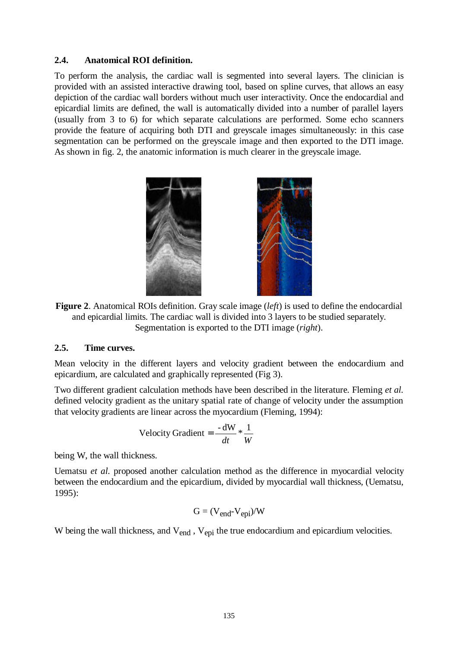#### **2.4. Anatomical ROI definition.**

To perform the analysis, the cardiac wall is segmented into several layers. The clinician is provided with an assisted interactive drawing tool, based on spline curves, that allows an easy depiction of the cardiac wall borders without much user interactivity. Once the endocardial and epicardial limits are defined, the wall is automatically divided into a number of parallel layers (usually from 3 to 6) for which separate calculations are performed. Some echo scanners provide the feature of acquiring both DTI and greyscale images simultaneously: in this case segmentation can be performed on the greyscale image and then exported to the DTI image. As shown in fig. 2, the anatomic information is much clearer in the greyscale image.



**Figure 2**. Anatomical ROIs definition. Gray scale image (*left*) is used to define the endocardial and epicardial limits. The cardiac wall is divided into 3 layers to be studied separately. Segmentation is exported to the DTI image (*right*).

#### **2.5. Time curves.**

Mean velocity in the different layers and velocity gradient between the endocardium and epicardium, are calculated and graphically represented (Fig 3).

Two different gradient calculation methods have been described in the literature. Fleming *et al.* defined velocity gradient as the unitary spatial rate of change of velocity under the assumption that velocity gradients are linear across the myocardium (Fleming, 1994):

$$
Velocity Gradient = \frac{-dW}{dt} * \frac{1}{W}
$$

being W, the wall thickness.

Uematsu *et al.* proposed another calculation method as the difference in myocardial velocity between the endocardium and the epicardium, divided by myocardial wall thickness, (Uematsu, 1995):

$$
G = (V_{end} - V_{epi})/W
$$

W being the wall thickness, and V<sub>end</sub>, V<sub>epi</sub> the true endocardium and epicardium velocities.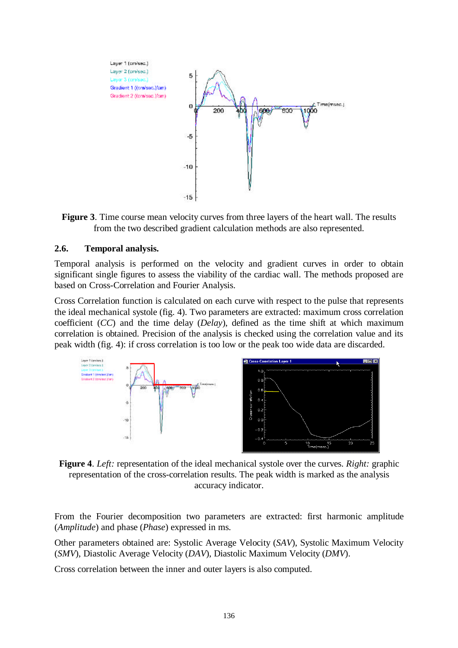

**Figure 3**. Time course mean velocity curves from three layers of the heart wall. The results from the two described gradient calculation methods are also represented.

#### **2.6. Temporal analysis.**

Temporal analysis is performed on the velocity and gradient curves in order to obtain significant single figures to assess the viability of the cardiac wall. The methods proposed are based on Cross-Correlation and Fourier Analysis.

Cross Correlation function is calculated on each curve with respect to the pulse that represents the ideal mechanical systole (fig. 4). Two parameters are extracted: maximum cross correlation coefficient (*CC*) and the time delay (*Delay*), defined as the time shift at which maximum correlation is obtained. Precision of the analysis is checked using the correlation value and its peak width (fig. 4): if cross correlation is too low or the peak too wide data are discarded.



**Figure 4**. *Left:* representation of the ideal mechanical systole over the curves. *Right:* graphic representation of the cross-correlation results. The peak width is marked as the analysis accuracy indicator.

From the Fourier decomposition two parameters are extracted: first harmonic amplitude (*Amplitude*) and phase (*Phase*) expressed in ms.

Other parameters obtained are: Systolic Average Velocity (*SAV*), Systolic Maximum Velocity (*SMV*), Diastolic Average Velocity (*DAV*), Diastolic Maximum Velocity (*DMV*).

Cross correlation between the inner and outer layers is also computed.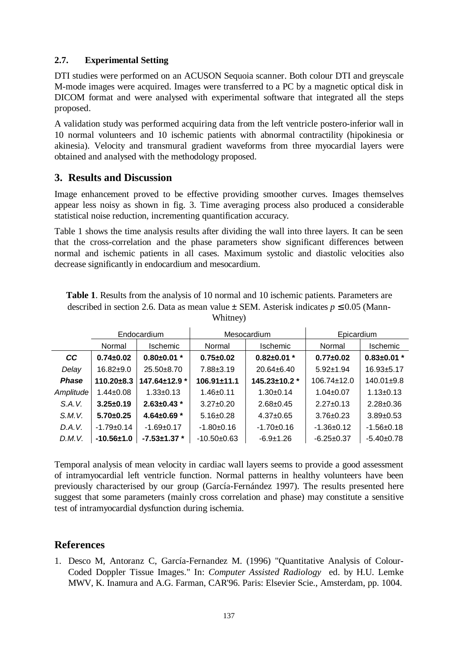### **2.7. Experimental Setting**

DTI studies were performed on an ACUSON Sequoia scanner. Both colour DTI and greyscale M-mode images were acquired. Images were transferred to a PC by a magnetic optical disk in DICOM format and were analysed with experimental software that integrated all the steps proposed.

A validation study was performed acquiring data from the left ventricle postero-inferior wall in 10 normal volunteers and 10 ischemic patients with abnormal contractility (hipokinesia or akinesia). Velocity and transmural gradient waveforms from three myocardial layers were obtained and analysed with the methodology proposed.

### **3. Results and Discussion**

Image enhancement proved to be effective providing smoother curves. Images themselves appear less noisy as shown in fig. 3. Time averaging process also produced a considerable statistical noise reduction, incrementing quantification accuracy.

Table 1 shows the time analysis results after dividing the wall into three layers. It can be seen that the cross-correlation and the phase parameters show significant differences between normal and ischemic patients in all cases. Maximum systolic and diastolic velocities also decrease significantly in endocardium and mesocardium.

| <b>Table 1.</b> Results from the analysis of 10 normal and 10 ischemic patients. Parameters are |
|-------------------------------------------------------------------------------------------------|
| described in section 2.6. Data as mean value $\pm$ SEM. Asterisk indicates $p \le 0.05$ (Mann-  |
| Whitney)                                                                                        |

|              | Endocardium      |                     | Mesocardium       |                   | Epicardium        |                   |
|--------------|------------------|---------------------|-------------------|-------------------|-------------------|-------------------|
|              | Normal           | <b>Ischemic</b>     | Normal            | <b>Ischemic</b>   | Normal            | <b>Ischemic</b>   |
| <b>CC</b>    | $0.74 \pm 0.02$  | $0.80 \pm 0.01$ *   | $0.75 \pm 0.02$   | $0.82 \pm 0.01$ * | $0.77 + 0.02$     | $0.83 \pm 0.01$ * |
| Delay        | $16.82+9.0$      | $25.50+8.70$        | $7.88 \pm 3.19$   | 20.64±6.40        | $5.92 \pm 1.94$   | $16.93 + 5.17$    |
| <b>Phase</b> | $110.20 \pm 8.3$ | 147.64±12.9 *       | $106.91 \pm 11.1$ | 145.23±10.2 *     | $106.74 \pm 12.0$ | $140.01 + 9.8$    |
| Amplitude    | $1.44 \pm 0.08$  | $1.33 \pm 0.13$     | $1.46 \pm 0.11$   | $1.30+0.14$       | $1.04 \pm 0.07$   | $1.13 \pm 0.13$   |
| S.A.V.       | $3.25 \pm 0.19$  | $2.63 \pm 0.43$ *   | $3.27 \pm 0.20$   | $2.68 + 0.45$     | $2.27 \pm 0.13$   | $2.28 \pm 0.36$   |
| S.M.V.       | $5.70+0.25$      | 4.64 $\pm$ 0.69 $*$ | $5.16 \pm 0.28$   | $4.37 \pm 0.65$   | $3.76 \pm 0.23$   | $3.89 + 0.53$     |
| D.A.V.       | $-1.79+0.14$     | $-1.69 + 0.17$      | $-1.80+0.16$      | $-1.70+0.16$      | $-1.36+0.12$      | $-1.56+0.18$      |
| D.M.V.       | $-10.56 \pm 1.0$ | $-7.53 \pm 1.37$ *  | $-10.50+0.63$     | $-6.9 \pm 1.26$   | $-6.25+0.37$      | $-5.40+0.78$      |

Temporal analysis of mean velocity in cardiac wall layers seems to provide a good assessment of intramyocardial left ventricle function. Normal patterns in healthy volunteers have been previously characterised by our group (García-Fernández 1997). The results presented here suggest that some parameters (mainly cross correlation and phase) may constitute a sensitive test of intramyocardial dysfunction during ischemia.

# **References**

1. Desco M, Antoranz C, García-Fernandez M. (1996) "Quantitative Analysis of Colour-Coded Doppler Tissue Images." In: *Computer Assisted Radiology* ed. by H.U. Lemke MWV, K. Inamura and A.G. Farman, CAR'96. Paris: Elsevier Scie., Amsterdam, pp. 1004.